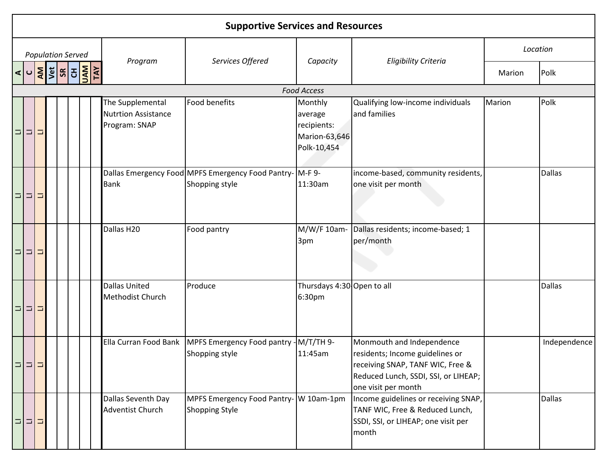|          | <b>Supportive Services and Resources</b> |        |                                                                                                                                  |  |  |                                                                 |                                                                                  |                                                                   |                                                                                                                                                                 |        |               |  |  |  |
|----------|------------------------------------------|--------|----------------------------------------------------------------------------------------------------------------------------------|--|--|-----------------------------------------------------------------|----------------------------------------------------------------------------------|-------------------------------------------------------------------|-----------------------------------------------------------------------------------------------------------------------------------------------------------------|--------|---------------|--|--|--|
|          |                                          |        | <b>Population Served</b>                                                                                                         |  |  | Program                                                         | Services Offered                                                                 |                                                                   | <b>Eligibility Criteria</b>                                                                                                                                     |        | Location      |  |  |  |
|          |                                          |        | $\frac{1}{\sqrt{2}}\left \frac{1}{2}\frac{1}{2}\right $ $\frac{1}{2}\left \frac{1}{2}\right \frac{1}{2}\left \frac{1}{2}\right $ |  |  |                                                                 |                                                                                  | Capacity                                                          |                                                                                                                                                                 | Marion | Polk          |  |  |  |
|          |                                          |        |                                                                                                                                  |  |  |                                                                 |                                                                                  | <b>Food Access</b>                                                |                                                                                                                                                                 |        |               |  |  |  |
| ⊐        | $\Box$                                   | ∍      |                                                                                                                                  |  |  | The Supplemental<br><b>Nutrtion Assistance</b><br>Program: SNAP | <b>Food benefits</b>                                                             | Monthly<br>average<br>recipients:<br>Marion-63,646<br>Polk-10,454 | Qualifying low-income individuals<br>and families                                                                                                               | Marion | Polk          |  |  |  |
|          | 디디드                                      |        |                                                                                                                                  |  |  | <b>Bank</b>                                                     | Dallas Emergency Food MPFS Emergency Food Pantry- M-F 9-<br>Shopping style       | 11:30am                                                           | income-based, community residents,<br>one visit per month                                                                                                       |        | <b>Dallas</b> |  |  |  |
|          | 미디디                                      |        |                                                                                                                                  |  |  | Dallas H20                                                      | Food pantry                                                                      | M/W/F 10am-<br>3pm                                                | Dallas residents; income-based; 1<br>per/month                                                                                                                  |        |               |  |  |  |
| $\Box$   | $\vert \Box \vert$                       | $\Box$ |                                                                                                                                  |  |  | <b>Dallas United</b><br><b>Methodist Church</b>                 | Produce                                                                          | Thursdays 4:30 Open to all<br>6:30pm                              |                                                                                                                                                                 |        | <b>Dallas</b> |  |  |  |
| $\equiv$ | $\Box$                                   |        |                                                                                                                                  |  |  |                                                                 | Ella Curran Food Bank   MPFS Emergency Food pantry - M/T/TH 9-<br>Shopping style | 11:45am                                                           | Monmouth and Independence<br>residents; Income guidelines or<br>receiving SNAP, TANF WIC, Free &<br>Reduced Lunch, SSDI, SSI, or LIHEAP;<br>one visit per month |        | Independence  |  |  |  |
| Ξ.       | $\Box$                                   | Ξ      |                                                                                                                                  |  |  | Dallas Seventh Day<br><b>Adventist Church</b>                   | MPFS Emergency Food Pantry- W 10am-1pm<br><b>Shopping Style</b>                  |                                                                   | Income guidelines or receiving SNAP,<br>TANF WIC, Free & Reduced Lunch,<br>SSDI, SSI, or LIHEAP; one visit per<br>month                                         |        | <b>Dallas</b> |  |  |  |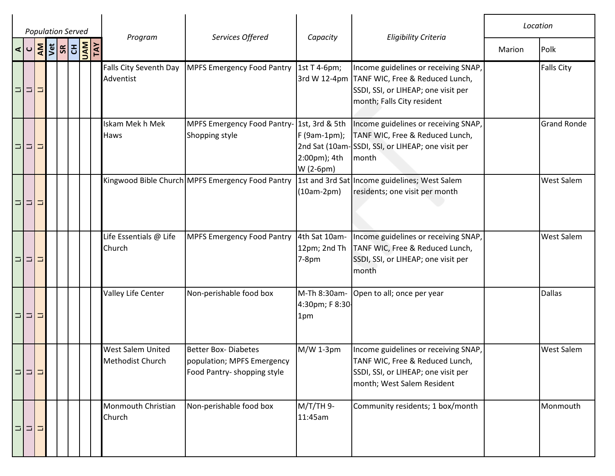|        | <b>Population Served</b> |  |                                                                                                          |  |                   |                                                     |                                                                                          |                                                             |                                                                                                                                              |        | Location           |
|--------|--------------------------|--|----------------------------------------------------------------------------------------------------------|--|-------------------|-----------------------------------------------------|------------------------------------------------------------------------------------------|-------------------------------------------------------------|----------------------------------------------------------------------------------------------------------------------------------------------|--------|--------------------|
|        |                          |  | $\leq$ $\frac{1}{2}$ $\frac{1}{2}$ $\frac{1}{2}$ $\frac{1}{2}$ $\frac{1}{2}$ $\frac{1}{2}$ $\frac{1}{2}$ |  | <b>VAN</b><br>TAY | Program                                             | Services Offered                                                                         | Capacity                                                    | <b>Eligibility Criteria</b>                                                                                                                  | Marion | Polk               |
|        | 미디디                      |  |                                                                                                          |  |                   | Falls City Seventh Day<br>Adventist                 | <b>MPFS Emergency Food Pantry</b>                                                        | 1st T 4-6pm;<br>3rd W 12-4pm                                | Income guidelines or receiving SNAP,<br>TANF WIC, Free & Reduced Lunch,<br>SSDI, SSI, or LIHEAP; one visit per<br>month; Falls City resident |        | <b>Falls City</b>  |
|        | 미디그                      |  |                                                                                                          |  |                   | Iskam Mek h Mek<br>Haws                             | MPFS Emergency Food Pantry-<br>Shopping style                                            | 1st, 3rd & 5th<br>F (9am-1pm);<br>2:00pm); 4th<br>W (2-6pm) | Income guidelines or receiving SNAP,<br>TANF WIC, Free & Reduced Lunch,<br>2nd Sat (10am-SSDI, SSI, or LIHEAP; one visit per<br>month        |        | <b>Grand Ronde</b> |
|        | 미디그                      |  |                                                                                                          |  |                   |                                                     | Kingwood Bible Church MPFS Emergency Food Pantry                                         | (10am-2pm)                                                  | 1st and 3rd Sat Income guidelines; West Salem<br>residents; one visit per month                                                              |        | <b>West Salem</b>  |
|        | 미디디                      |  |                                                                                                          |  |                   | Life Essentials @ Life<br>Church                    | <b>MPFS Emergency Food Pantry</b>                                                        | 4th Sat 10am-<br>12pm; 2nd Th<br>$7-8pm$                    | Income guidelines or receiving SNAP,<br>TANF WIC, Free & Reduced Lunch,<br>SSDI, SSI, or LIHEAP; one visit per<br>month                      |        | West Salem         |
|        | 미디그                      |  |                                                                                                          |  |                   | Valley Life Center                                  | Non-perishable food box                                                                  | M-Th 8:30am-<br>4:30pm; F 8:30-<br>1pm                      | Open to all; once per year                                                                                                                   |        | <b>Dallas</b>      |
| $\Box$ | 비디                       |  |                                                                                                          |  |                   | <b>West Salem United</b><br><b>Methodist Church</b> | <b>Better Box- Diabetes</b><br>population; MPFS Emergency<br>Food Pantry- shopping style | $M/W$ 1-3pm                                                 | Income guidelines or receiving SNAP,<br>TANF WIC, Free & Reduced Lunch,<br>SSDI, SSI, or LIHEAP; one visit per<br>month; West Salem Resident |        | <b>West Salem</b>  |
|        | 미미디                      |  |                                                                                                          |  |                   | Monmouth Christian<br>Church                        | Non-perishable food box                                                                  | M/T/TH 9-<br>11:45am                                        | Community residents; 1 box/month                                                                                                             |        | Monmouth           |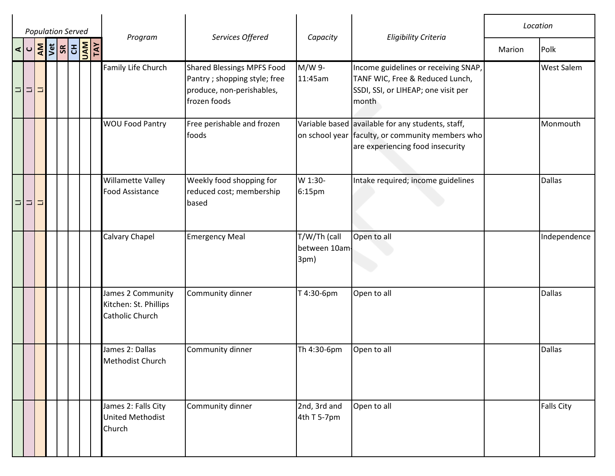| <b>Population Served</b> |  |  |                      |  |  |                                                               |                                                                                                                 |                                       |                                                                                                                                           | Location |                   |
|--------------------------|--|--|----------------------|--|--|---------------------------------------------------------------|-----------------------------------------------------------------------------------------------------------------|---------------------------------------|-------------------------------------------------------------------------------------------------------------------------------------------|----------|-------------------|
| $\sigma$                 |  |  | <b>AND SEAR SEAR</b> |  |  | Program                                                       | Services Offered                                                                                                | Capacity                              | <b>Eligibility Criteria</b>                                                                                                               | Marion   | Polk              |
| 디디그                      |  |  |                      |  |  | Family Life Church                                            | <b>Shared Blessings MPFS Food</b><br>Pantry ; shopping style; free<br>produce, non-perishables,<br>frozen foods | M/W 9-<br>11:45am                     | Income guidelines or receiving SNAP,<br>TANF WIC, Free & Reduced Lunch,<br>SSDI, SSI, or LIHEAP; one visit per<br>month                   |          | <b>West Salem</b> |
|                          |  |  |                      |  |  | <b>WOU Food Pantry</b>                                        | Free perishable and frozen<br>foods                                                                             |                                       | Variable based available for any students, staff,<br>on school year faculty, or community members who<br>are experiencing food insecurity |          | Monmouth          |
| 디디디                      |  |  |                      |  |  | Willamette Valley<br><b>Food Assistance</b>                   | Weekly food shopping for<br>reduced cost; membership<br>based                                                   | W 1:30-<br>6:15pm                     | Intake required; income guidelines                                                                                                        |          | <b>Dallas</b>     |
|                          |  |  |                      |  |  | Calvary Chapel                                                | <b>Emergency Meal</b>                                                                                           | T/W/Th (call<br>between 10am-<br>3pm) | Open to all                                                                                                                               |          | Independence      |
|                          |  |  |                      |  |  | James 2 Community<br>Kitchen: St. Phillips<br>Catholic Church | Community dinner                                                                                                | T 4:30-6pm                            | Open to all                                                                                                                               |          | <b>Dallas</b>     |
|                          |  |  |                      |  |  | James 2: Dallas<br>Methodist Church                           | Community dinner                                                                                                | Th 4:30-6pm                           | Open to all                                                                                                                               |          | <b>Dallas</b>     |
|                          |  |  |                      |  |  | James 2: Falls City<br><b>United Methodist</b><br>Church      | Community dinner                                                                                                | 2nd, 3rd and<br>4th T 5-7pm           | Open to all                                                                                                                               |          | <b>Falls City</b> |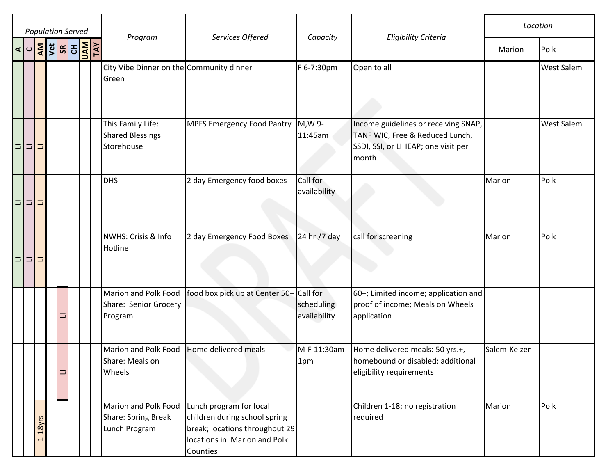|     |           | <b>Population Served</b>                                                                                                                                                                                                                                                                                            |                                                              |                                                                                                                                        |                                        |                                                                                                                         |              | Location          |
|-----|-----------|---------------------------------------------------------------------------------------------------------------------------------------------------------------------------------------------------------------------------------------------------------------------------------------------------------------------|--------------------------------------------------------------|----------------------------------------------------------------------------------------------------------------------------------------|----------------------------------------|-------------------------------------------------------------------------------------------------------------------------|--------------|-------------------|
|     |           | $\frac{1}{2}$ $\frac{1}{2}$ $\frac{1}{2}$ $\frac{1}{2}$ $\frac{1}{2}$ $\frac{1}{2}$ $\frac{1}{2}$ $\frac{1}{2}$ $\frac{1}{2}$ $\frac{1}{2}$ $\frac{1}{2}$ $\frac{1}{2}$ $\frac{1}{2}$ $\frac{1}{2}$ $\frac{1}{2}$ $\frac{1}{2}$ $\frac{1}{2}$ $\frac{1}{2}$ $\frac{1}{2}$ $\frac{1}{2}$ $\frac{1}{2}$ $\frac{1}{2}$ | Program                                                      | Services Offered                                                                                                                       | Capacity                               | <b>Eligibility Criteria</b>                                                                                             | Marion       | Polk              |
|     |           |                                                                                                                                                                                                                                                                                                                     | City Vibe Dinner on the Community dinner<br>Green            |                                                                                                                                        | F 6-7:30pm                             | Open to all                                                                                                             |              | <b>West Salem</b> |
| 미미미 |           |                                                                                                                                                                                                                                                                                                                     | This Family Life:<br><b>Shared Blessings</b><br>Storehouse   | <b>MPFS Emergency Food Pantry</b>                                                                                                      | M, W 9-<br>11:45am                     | Income guidelines or receiving SNAP,<br>TANF WIC, Free & Reduced Lunch,<br>SSDI, SSI, or LIHEAP; one visit per<br>month |              | <b>West Salem</b> |
| 미디그 |           |                                                                                                                                                                                                                                                                                                                     | <b>DHS</b>                                                   | 2 day Emergency food boxes                                                                                                             | Call for<br>availability               |                                                                                                                         | Marion       | Polk              |
| 미디그 |           |                                                                                                                                                                                                                                                                                                                     | NWHS: Crisis & Info<br>Hotline                               | 2 day Emergency Food Boxes                                                                                                             | 24 hr./7 day                           | call for screening                                                                                                      | Marion       | Polk              |
|     |           | ⊐                                                                                                                                                                                                                                                                                                                   | Marion and Polk Food<br>Share: Senior Grocery<br>Program     | food box pick up at Center 50+                                                                                                         | Call for<br>scheduling<br>availability | 60+; Limited income; application and<br>proof of income; Meals on Wheels<br>application                                 |              |                   |
|     |           | ⊐                                                                                                                                                                                                                                                                                                                   | Marion and Polk Food<br>Share: Meals on<br>Wheels            | Home delivered meals                                                                                                                   | M-F 11:30am-<br>1pm                    | Home delivered meals: 50 yrs.+,<br>homebound or disabled; additional<br>eligibility requirements                        | Salem-Keizer |                   |
|     | $1-18yrs$ |                                                                                                                                                                                                                                                                                                                     | Marion and Polk Food<br>Share: Spring Break<br>Lunch Program | Lunch program for local<br>children during school spring<br>break; locations throughout 29<br>locations in Marion and Polk<br>Counties |                                        | Children 1-18; no registration<br>required                                                                              | Marion       | Polk              |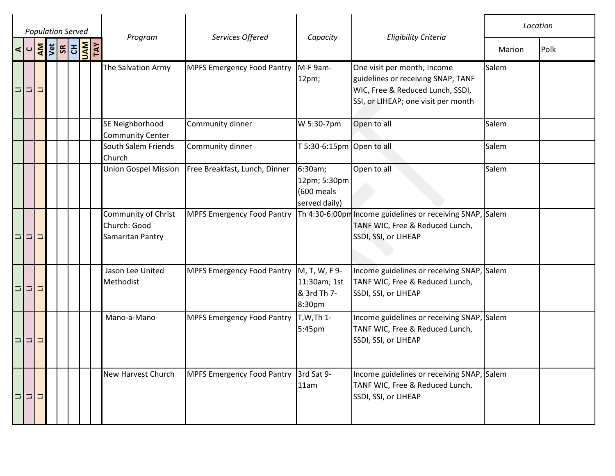|             | <b>Population Served</b>     |  |                                                         |                                   |                                                        |                                                                                                                                              |        | Location |
|-------------|------------------------------|--|---------------------------------------------------------|-----------------------------------|--------------------------------------------------------|----------------------------------------------------------------------------------------------------------------------------------------------|--------|----------|
|             | ⋖│ <mark>│⋛</mark> ⋚│⋦│⋛│⋛│⋛ |  | Program                                                 | Services Offered                  | Capacity                                               | <b>Eligibility Criteria</b>                                                                                                                  | Marion | Polk     |
| 미미그         |                              |  | The Salvation Army                                      | <b>MPFS Emergency Food Pantry</b> | M-F 9am-<br>$12pm$ ;                                   | One visit per month; Income<br>guidelines or receiving SNAP, TANF<br>WIC, Free & Reduced Lunch, SSDI,<br>SSI, or LIHEAP; one visit per month | Salem  |          |
|             |                              |  | SE Neighborhood<br><b>Community Center</b>              | Community dinner                  | W 5:30-7pm                                             | Open to all                                                                                                                                  | Salem  |          |
|             |                              |  | South Salem Friends<br>Church                           | Community dinner                  | T 5:30-6:15pm Open to all                              |                                                                                                                                              | Salem  |          |
|             |                              |  | <b>Union Gospel Mission</b>                             | Free Breakfast, Lunch, Dinner     | 6:30am;<br>12pm; 5:30pm<br>(600 meals<br>served daily) | Open to all                                                                                                                                  | Salem  |          |
| 미미디         |                              |  | Community of Christ<br>Church: Good<br>Samaritan Pantry | <b>MPFS Emergency Food Pantry</b> |                                                        | Th 4:30-6:00pm Income guidelines or receiving SNAP, Salem<br>TANF WIC, Free & Reduced Lunch,<br>SSDI, SSI, or LIHEAP                         |        |          |
| 미디디         |                              |  | Jason Lee United<br>Methodist                           | <b>MPFS Emergency Food Pantry</b> | M, T, W, F 9-<br>11:30am; 1st<br>& 3rd Th 7-<br>8:30pm | Income guidelines or receiving SNAP, Salem<br>TANF WIC, Free & Reduced Lunch,<br>SSDI, SSI, or LIHEAP                                        |        |          |
| 미미미         |                              |  | Mano-a-Mano                                             | <b>MPFS Emergency Food Pantry</b> | T, W, Th 1-<br>5:45pm                                  | Income guidelines or receiving SNAP, Salem<br>TANF WIC, Free & Reduced Lunch,<br>SSDI, SSI, or LIHEAP                                        |        |          |
| $=$ $=$ $=$ |                              |  | New Harvest Church                                      | <b>MPFS Emergency Food Pantry</b> | 3rd Sat 9-<br>11am                                     | Income guidelines or receiving SNAP, Salem<br>TANF WIC, Free & Reduced Lunch,<br>SSDI, SSI, or LIHEAP                                        |        |          |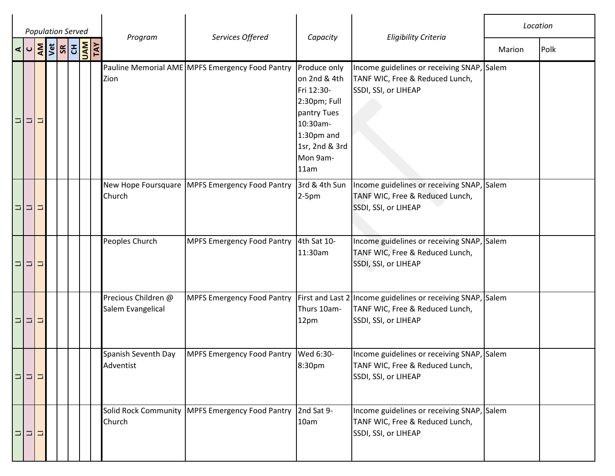|                      |     | <b>Population Served</b>                                                                                          |  |                                          |                                                   |                                                                                                                                           |                                                                                                                        | Location |      |
|----------------------|-----|-------------------------------------------------------------------------------------------------------------------|--|------------------------------------------|---------------------------------------------------|-------------------------------------------------------------------------------------------------------------------------------------------|------------------------------------------------------------------------------------------------------------------------|----------|------|
| $\vert \sigma \vert$ |     | $\left \frac{1}{2}\right \frac{1}{2}$ $\left \frac{1}{2}\right \frac{1}{2}$ $\left \frac{1}{2}\right \frac{1}{2}$ |  | Program                                  | Services Offered                                  | Capacity                                                                                                                                  | <b>Eligibility Criteria</b>                                                                                            | Marion   | Polk |
| $\Box$<br>  그        |     |                                                                                                                   |  | Zion                                     | Pauline Memorial AME MPFS Emergency Food Pantry   | Produce only<br>on 2nd & 4th<br>Fri 12:30-<br>2:30pm; Full<br>pantry Tues<br>10:30am-<br>1:30pm and<br>1sr, 2nd & 3rd<br>Mon 9am-<br>11am | Income guidelines or receiving SNAP, Salem<br>TANF WIC, Free & Reduced Lunch,<br>SSDI, SSI, or LIHEAP                  |          |      |
|                      | 미미미 |                                                                                                                   |  | Church                                   | New Hope Foursquare   MPFS Emergency Food Pantry  | 3rd & 4th Sun<br>$2-5pm$                                                                                                                  | Income guidelines or receiving SNAP, Salem<br>TANF WIC, Free & Reduced Lunch,<br>SSDI, SSI, or LIHEAP                  |          |      |
|                      | 미미미 |                                                                                                                   |  | Peoples Church                           | <b>MPFS Emergency Food Pantry</b>                 | 4th Sat 10-<br>11:30am                                                                                                                    | Income guidelines or receiving SNAP, Salem<br>TANF WIC, Free & Reduced Lunch,<br>SSDI, SSI, or LIHEAP                  |          |      |
|                      | 미디그 |                                                                                                                   |  | Precious Children @<br>Salem Evangelical | <b>MPFS Emergency Food Pantry</b>                 | Thurs 10am-<br>12pm                                                                                                                       | First and Last 2 Income guidelines or receiving SNAP, Salem<br>TANF WIC, Free & Reduced Lunch,<br>SSDI, SSI, or LIHEAP |          |      |
| 미미디                  |     |                                                                                                                   |  | Spanish Seventh Day<br>Adventist         | <b>MPFS Emergency Food Pantry</b>                 | Wed 6:30-<br>8:30pm                                                                                                                       | Income guidelines or receiving SNAP, Salem<br>TANF WIC, Free & Reduced Lunch,<br>SSDI, SSI, or LIHEAP                  |          |      |
|                      | 미디디 |                                                                                                                   |  | Church                                   | Solid Rock Community   MPFS Emergency Food Pantry | 2nd Sat 9-<br>10am                                                                                                                        | Income guidelines or receiving SNAP, Salem<br>TANF WIC, Free & Reduced Lunch,<br>SSDI, SSI, or LIHEAP                  |          |      |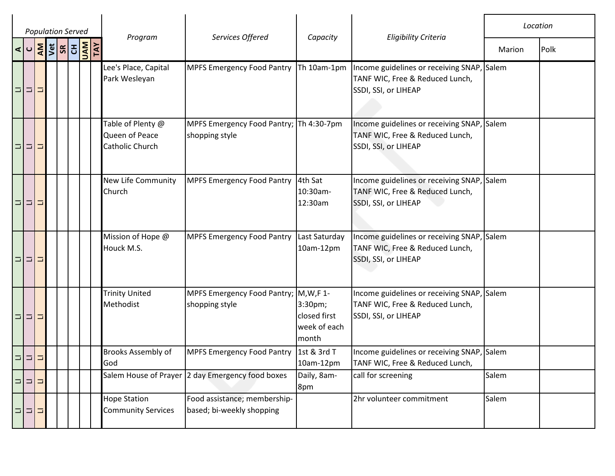|     |   | <b>Population Served</b>                                                                                                                    |  |                                                        |                                                           |                                                  |                                                                                                       |        | Location |
|-----|---|---------------------------------------------------------------------------------------------------------------------------------------------|--|--------------------------------------------------------|-----------------------------------------------------------|--------------------------------------------------|-------------------------------------------------------------------------------------------------------|--------|----------|
|     |   | $\frac{1}{2}$ $\frac{1}{2}$ $\frac{1}{2}$ $\frac{1}{2}$ $\frac{1}{2}$ $\frac{1}{2}$ $\frac{1}{2}$ $\frac{1}{2}$ $\frac{1}{2}$ $\frac{1}{2}$ |  | Program                                                | Services Offered                                          | Capacity                                         | <b>Eligibility Criteria</b>                                                                           | Marion | Polk     |
| 미디디 |   |                                                                                                                                             |  | Lee's Place, Capital<br>Park Wesleyan                  | <b>MPFS Emergency Food Pantry</b>                         | Th 10am-1pm                                      | Income guidelines or receiving SNAP, Salem<br>TANF WIC, Free & Reduced Lunch,<br>SSDI, SSI, or LIHEAP |        |          |
| 미디디 |   |                                                                                                                                             |  | Table of Plenty @<br>Queen of Peace<br>Catholic Church | MPFS Emergency Food Pantry; Th 4:30-7pm<br>shopping style |                                                  | Income guidelines or receiving SNAP, Salem<br>TANF WIC, Free & Reduced Lunch,<br>SSDI, SSI, or LIHEAP |        |          |
| 미미그 |   |                                                                                                                                             |  | New Life Community<br>Church                           | <b>MPFS Emergency Food Pantry</b>                         | 4th Sat<br>10:30am-<br>12:30am                   | Income guidelines or receiving SNAP, Salem<br>TANF WIC, Free & Reduced Lunch,<br>SSDI, SSI, or LIHEAP |        |          |
| 미디디 |   |                                                                                                                                             |  | Mission of Hope @<br>Houck M.S.                        | <b>MPFS Emergency Food Pantry</b>                         | Last Saturday<br>10am-12pm                       | Income guidelines or receiving SNAP, Salem<br>TANF WIC, Free & Reduced Lunch,<br>SSDI, SSI, or LIHEAP |        |          |
| 미디그 |   |                                                                                                                                             |  | <b>Trinity United</b><br>Methodist                     | MPFS Emergency Food Pantry; M, W, F 1-<br>shopping style  | 3:30pm;<br>closed first<br>week of each<br>month | Income guidelines or receiving SNAP, Salem<br>TANF WIC, Free & Reduced Lunch,<br>SSDI, SSI, or LIHEAP |        |          |
| 미미  | Ξ |                                                                                                                                             |  | Brooks Assembly of<br>God                              | <b>MPFS Emergency Food Pantry</b>                         | 1st & 3rd T<br>10am-12pm                         | Income guidelines or receiving SNAP, Salem<br>TANF WIC, Free & Reduced Lunch,                         |        |          |
| 비디  | ⊐ |                                                                                                                                             |  |                                                        | Salem House of Prayer 2 day Emergency food boxes          | Daily, 8am-<br>8pm                               | call for screening                                                                                    | Salem  |          |
| 디디디 |   |                                                                                                                                             |  | <b>Hope Station</b><br><b>Community Services</b>       | Food assistance; membership-<br>based; bi-weekly shopping |                                                  | 2hr volunteer commitment                                                                              | Salem  |          |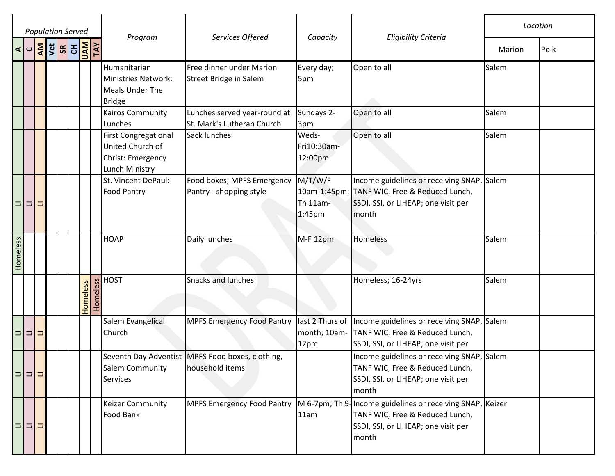|          | <b>Population Served</b><br><b>AND SEP SEP SEP</b> |   |  |  |  |          |          |                                                                                        |                                                                       |                                           |                                                                                                                                              |        | Location |
|----------|----------------------------------------------------|---|--|--|--|----------|----------|----------------------------------------------------------------------------------------|-----------------------------------------------------------------------|-------------------------------------------|----------------------------------------------------------------------------------------------------------------------------------------------|--------|----------|
| ⊲∣∪      |                                                    |   |  |  |  |          |          | Program                                                                                | Services Offered                                                      | Capacity                                  | Eligibility Criteria                                                                                                                         | Marion | Polk     |
|          |                                                    |   |  |  |  |          |          | <b>Humanitarian</b><br>Ministries Network:<br>Meals Under The<br><b>Bridge</b>         | Free dinner under Marion<br><b>Street Bridge in Salem</b>             | Every day;<br>5pm                         | Open to all                                                                                                                                  | Salem  |          |
|          |                                                    |   |  |  |  |          |          | Kairos Community<br>Lunches                                                            | Lunches served year-round at<br>St. Mark's Lutheran Church            | Sundays 2-<br>3pm                         | Open to all                                                                                                                                  | Salem  |          |
|          |                                                    |   |  |  |  |          |          | <b>First Congregational</b><br>United Church of<br>Christ: Emergency<br>Lunch Ministry | Sack lunches                                                          | Weds-<br>Fri10:30am-<br>12:00pm           | Open to all                                                                                                                                  | Salem  |          |
| 미디       |                                                    | Ξ |  |  |  |          |          | St. Vincent DePaul:<br><b>Food Pantry</b>                                              | Food boxes; MPFS Emergency<br>Pantry - shopping style                 | M/T/W/F<br>Th 11am-<br>1:45 <sub>pm</sub> | Income guidelines or receiving SNAP,<br>10am-1:45pm; TANF WIC, Free & Reduced Lunch,<br>SSDI, SSI, or LIHEAP; one visit per<br>month         | Salem  |          |
| Homeless |                                                    |   |  |  |  |          |          | <b>HOAP</b>                                                                            | Daily lunches                                                         | M-F 12pm                                  | Homeless                                                                                                                                     | Salem  |          |
|          |                                                    |   |  |  |  | Homeless | Homeless | <b>HOST</b>                                                                            | <b>Snacks and lunches</b>                                             |                                           | Homeless; 16-24yrs                                                                                                                           | Salem  |          |
| 미디디      |                                                    |   |  |  |  |          |          | Salem Evangelical<br>Church                                                            | <b>MPFS Emergency Food Pantry</b>                                     | month; 10am-<br>12pm                      | last 2 Thurs of  Income guidelines or receiving SNAP, Salem<br>TANF WIC, Free & Reduced Lunch,<br>SSDI, SSI, or LIHEAP; one visit per        |        |          |
| 미미미      |                                                    |   |  |  |  |          |          | Salem Community<br><b>Services</b>                                                     | Seventh Day Adventist   MPFS Food boxes, clothing,<br>household items |                                           | Income guidelines or receiving SNAP, Salem<br>TANF WIC, Free & Reduced Lunch,<br>SSDI, SSI, or LIHEAP; one visit per<br>month                |        |          |
| 미디       |                                                    | □ |  |  |  |          |          | <b>Keizer Community</b><br><b>Food Bank</b>                                            | <b>MPFS Emergency Food Pantry</b>                                     | 11am                                      | M 6-7pm; Th 9-Income guidelines or receiving SNAP, Keizer<br>TANF WIC, Free & Reduced Lunch,<br>SSDI, SSI, or LIHEAP; one visit per<br>month |        |          |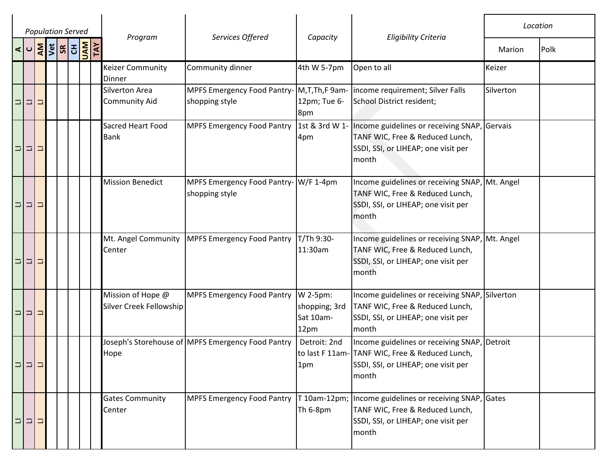|   |           |   | <b>Population Served</b> |  |                                               |                                                                |                                                |                                                                                                                                                 |           | Location |
|---|-----------|---|--------------------------|--|-----------------------------------------------|----------------------------------------------------------------|------------------------------------------------|-------------------------------------------------------------------------------------------------------------------------------------------------|-----------|----------|
|   | $\vert$ U |   | <b>AND SURVEY</b>        |  | Program                                       | Services Offered                                               | Capacity                                       | <b>Eligibility Criteria</b>                                                                                                                     | Marion    | Polk     |
|   |           |   |                          |  | <b>Keizer Community</b><br>Dinner             | Community dinner                                               | 4th W 5-7pm                                    | Open to all                                                                                                                                     | Keizer    |          |
|   | 미디        | Ξ |                          |  | <b>Silverton Area</b><br><b>Community Aid</b> | MPFS Emergency Food Pantry- M, T, Th, F 9am-<br>shopping style | 12pm; Tue 6-<br>8pm                            | income requirement; Silver Falls<br>School District resident;                                                                                   | Silverton |          |
| Ξ | $\Box$    | Ξ |                          |  | Sacred Heart Food<br><b>Bank</b>              | <b>MPFS Emergency Food Pantry</b>                              | 4pm                                            | 1st & 3rd W 1- Income guidelines or receiving SNAP, Gervais<br>TANF WIC, Free & Reduced Lunch,<br>SSDI, SSI, or LIHEAP; one visit per<br>month  |           |          |
| Ξ | $\Box$    | Ξ |                          |  | <b>Mission Benedict</b>                       | MPFS Emergency Food Pantry- W/F 1-4pm<br>shopping style        |                                                | Income guidelines or receiving SNAP, Mt. Angel<br>TANF WIC, Free & Reduced Lunch,<br>SSDI, SSI, or LIHEAP; one visit per<br>month               |           |          |
| Ξ | $\Box$    | Ξ |                          |  | Mt. Angel Community<br>Center                 | <b>MPFS Emergency Food Pantry</b>                              | T/Th 9:30-<br>11:30am                          | Income guidelines or receiving SNAP, Mt. Angel<br>TANF WIC, Free & Reduced Lunch,<br>SSDI, SSI, or LIHEAP; one visit per<br>month               |           |          |
|   | 미디디       |   |                          |  | Mission of Hope @<br>Silver Creek Fellowship  | <b>MPFS Emergency Food Pantry</b>                              | W 2-5pm:<br>shopping; 3rd<br>Sat 10am-<br>12pm | Income guidelines or receiving SNAP, Silverton<br>TANF WIC, Free & Reduced Lunch,<br>SSDI, SSI, or LIHEAP; one visit per<br>month               |           |          |
|   | 그녀가       |   |                          |  | Hope                                          | Joseph's Storehouse of MPFS Emergency Food Pantry              | Detroit: 2nd<br>1pm                            | Income guidelines or receiving SNAP, Detroit<br>to last F 11am- TANF WIC, Free & Reduced Lunch,<br>SSDI, SSI, or LIHEAP; one visit per<br>month |           |          |
|   | 미미그       |   |                          |  | <b>Gates Community</b><br>Center              | <b>MPFS Emergency Food Pantry</b>                              | T 10am-12pm;<br>Th 6-8pm                       | Income guidelines or receiving SNAP, Gates<br>TANF WIC, Free & Reduced Lunch,<br>SSDI, SSI, or LIHEAP; one visit per<br>month                   |           |          |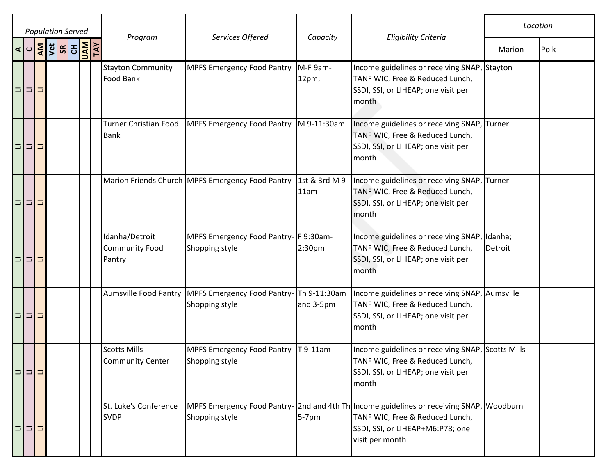|          |             |        | <b>Population Served</b>                                                                                                                    |  |                                                   |                                                      |                                 |                                                                                                                                                        |                    | Location |
|----------|-------------|--------|---------------------------------------------------------------------------------------------------------------------------------------------|--|---------------------------------------------------|------------------------------------------------------|---------------------------------|--------------------------------------------------------------------------------------------------------------------------------------------------------|--------------------|----------|
|          |             |        | $\frac{1}{2}$ $\frac{1}{2}$ $\frac{1}{2}$ $\frac{1}{2}$ $\frac{1}{2}$ $\frac{1}{2}$ $\frac{1}{2}$ $\frac{1}{2}$ $\frac{1}{2}$ $\frac{1}{2}$ |  | Program                                           | Services Offered                                     | Capacity                        | <b>Eligibility Criteria</b>                                                                                                                            | Marion             | Polk     |
|          | 디디그         |        |                                                                                                                                             |  | <b>Stayton Community</b><br>Food Bank             | <b>MPFS Emergency Food Pantry</b>                    | M-F 9am-<br>12pm;               | Income guidelines or receiving SNAP, Stayton<br>TANF WIC, Free & Reduced Lunch,<br>SSDI, SSI, or LIHEAP; one visit per<br>month                        |                    |          |
| Ξ        | $\Box$      | 口      |                                                                                                                                             |  | Turner Christian Food<br><b>Bank</b>              | <b>MPFS Emergency Food Pantry</b>                    | M 9-11:30am                     | Income guidelines or receiving SNAP, Turner<br>TANF WIC, Free & Reduced Lunch,<br>SSDI, SSI, or LIHEAP; one visit per<br>month                         |                    |          |
|          | 미디디         |        |                                                                                                                                             |  |                                                   | Marion Friends Church MPFS Emergency Food Pantry     | 1st & 3rd M 9-<br>11am          | Income guidelines or receiving SNAP,<br>TANF WIC, Free & Reduced Lunch,<br>SSDI, SSI, or LIHEAP; one visit per<br>month                                | Turner             |          |
|          | 미미그         |        |                                                                                                                                             |  | Idanha/Detroit<br><b>Community Food</b><br>Pantry | MPFS Emergency Food Pantry-<br>Shopping style        | F 9:30am-<br>2:30 <sub>pm</sub> | Income guidelines or receiving SNAP,<br>TANF WIC, Free & Reduced Lunch,<br>SSDI, SSI, or LIHEAP; one visit per<br>month                                | Idanha;<br>Detroit |          |
|          | Ξ<br>$\Box$ | E      |                                                                                                                                             |  | <b>Aumsville Food Pantry</b>                      | <b>MPFS Emergency Food Pantry-</b><br>Shopping style | Th 9-11:30am<br>and 3-5pm       | Income guidelines or receiving SNAP, Aumsville<br>TANF WIC, Free & Reduced Lunch,<br>SSDI, SSI, or LIHEAP; one visit per<br>month                      |                    |          |
| $\equiv$ | $=$         | $\Box$ |                                                                                                                                             |  | <b>Scotts Mills</b><br><b>Community Center</b>    | MPFS Emergency Food Pantry-<br>Shopping style        | T 9-11am                        | Income guidelines or receiving SNAP, Scotts Mills<br>TANF WIC, Free & Reduced Lunch,<br>SSDI, SSI, or LIHEAP; one visit per<br>month                   |                    |          |
|          | 미디디         |        |                                                                                                                                             |  | St. Luke's Conference<br><b>SVDP</b>              | <b>MPFS Emergency Food Pantry-</b><br>Shopping style | $5-7$ pm                        | 2nd and 4th Th Income guidelines or receiving SNAP, Woodburn<br>TANF WIC, Free & Reduced Lunch,<br>SSDI, SSI, or LIHEAP+M6:P78; one<br>visit per month |                    |          |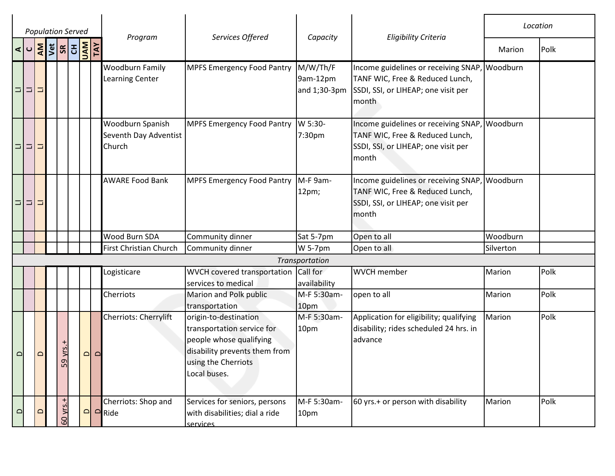|                      | <b>Population Served</b>  |   |                    |  |                      |                                                     |                                                                                                                                                        |                                      |                                                                                                                                  |           | Location |
|----------------------|---------------------------|---|--------------------|--|----------------------|-----------------------------------------------------|--------------------------------------------------------------------------------------------------------------------------------------------------------|--------------------------------------|----------------------------------------------------------------------------------------------------------------------------------|-----------|----------|
| $\vert \sigma \vert$ |                           |   | <b>AND RIS RIS</b> |  |                      | Program                                             | Services Offered                                                                                                                                       | Capacity                             | <b>Eligibility Criteria</b>                                                                                                      | Marion    | Polk     |
| Ξ                    | $\vert \equiv \vert$<br>□ |   |                    |  |                      | <b>Woodburn Family</b><br><b>Learning Center</b>    | <b>MPFS Emergency Food Pantry</b>                                                                                                                      | M/W/Th/F<br>9am-12pm<br>and 1;30-3pm | Income guidelines or receiving SNAP,<br>TANF WIC, Free & Reduced Lunch,<br>SSDI, SSI, or LIHEAP; one visit per<br>month          | Woodburn  |          |
|                      | 미디디                       |   |                    |  |                      | Woodburn Spanish<br>Seventh Day Adventist<br>Church | <b>MPFS Emergency Food Pantry</b>                                                                                                                      | W 5:30-<br>7:30pm                    | Income guidelines or receiving SNAP,<br>TANF WIC, Free & Reduced Lunch,<br>SSDI, SSI, or LIHEAP; one visit per<br>month          | Woodburn  |          |
| $\Box$               | 비디                        |   |                    |  |                      | <b>AWARE Food Bank</b>                              | <b>MPFS Emergency Food Pantry</b>                                                                                                                      | M-F 9am-<br>12pm;                    | Income guidelines or receiving SNAP, Woodburn<br>TANF WIC, Free & Reduced Lunch,<br>SSDI, SSI, or LIHEAP; one visit per<br>month |           |          |
|                      |                           |   |                    |  |                      | Wood Burn SDA                                       | Community dinner                                                                                                                                       | Sat 5-7pm                            | Open to all                                                                                                                      | Woodburn  |          |
|                      |                           |   |                    |  |                      | First Christian Church                              | Community dinner                                                                                                                                       | W 5-7pm                              | Open to all                                                                                                                      | Silverton |          |
|                      |                           |   |                    |  |                      |                                                     |                                                                                                                                                        | Transportation                       |                                                                                                                                  |           |          |
|                      |                           |   |                    |  |                      | Logisticare                                         | WVCH covered transportation<br>services to medical                                                                                                     | Call for<br>availability             | <b>WVCH</b> member                                                                                                               | Marion    | Polk     |
|                      |                           |   |                    |  |                      | Cherriots                                           | Marion and Polk public<br>transportation                                                                                                               | M-F 5:30am-<br>10pm                  | open to all                                                                                                                      | Marion    | Polk     |
| ≏                    |                           | ≏ | 59 yrs.+           |  | $\Omega$<br>$\Omega$ | Cherriots: Cherrylift                               | origin-to-destination<br>transportation service for<br>people whose qualifying<br>disability prevents them from<br>using the Cherriots<br>Local buses. | M-F 5:30am-<br>10pm                  | Application for eligibility; qualifying<br>disability; rides scheduled 24 hrs. in<br>advance                                     | Marion    | Polk     |
| $\Omega$             |                           | ≏ | 60 yrs.+           |  | $\Box$               | Cherriots: Shop and<br>$\Box$ Ride                  | Services for seniors, persons<br>with disabilities; dial a ride<br>services                                                                            | M-F 5:30am-<br>10pm                  | 60 yrs.+ or person with disability                                                                                               | Marion    | Polk     |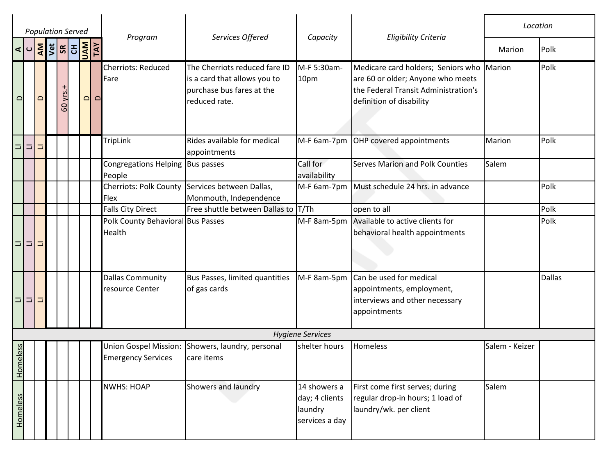|                       |          | <b>Population Served</b>                                                                                    |          |                                                    |                                                                                                             |                                                             |                                                                                                                                                    | Location       |               |
|-----------------------|----------|-------------------------------------------------------------------------------------------------------------|----------|----------------------------------------------------|-------------------------------------------------------------------------------------------------------------|-------------------------------------------------------------|----------------------------------------------------------------------------------------------------------------------------------------------------|----------------|---------------|
| $\sigma$              |          | $\frac{ \mathbf{x} }{ \mathbf{x} }$ $\frac{ \mathbf{x} }{ \mathbf{x} }$ $\frac{ \mathbf{x} }{ \mathbf{x} }$ |          | Program                                            | Services Offered                                                                                            | Capacity                                                    | <b>Eligibility Criteria</b>                                                                                                                        | Marion         | Polk          |
| $\mathbf{\Omega}$     | $\Omega$ | 60 yrs.+                                                                                                    | $\Omega$ | Cherriots: Reduced<br>Fare<br>$\Omega$             | The Cherriots reduced fare ID<br>is a card that allows you to<br>purchase bus fares at the<br>reduced rate. | M-F 5:30am-<br>10pm                                         | Medicare card holders; Seniors who Marion<br>are 60 or older; Anyone who meets<br>the Federal Transit Administration's<br>definition of disability |                | Polk          |
| 미디                    | $\Box$   |                                                                                                             |          | <b>TripLink</b>                                    | Rides available for medical<br>appointments                                                                 |                                                             | M-F 6am-7pm OHP covered appointments                                                                                                               | Marion         | Polk          |
|                       |          |                                                                                                             |          | Congregations Helping   Bus passes<br>People       |                                                                                                             | Call for<br>availability                                    | <b>Serves Marion and Polk Counties</b>                                                                                                             | Salem          |               |
|                       |          |                                                                                                             |          | <b>Cherriots: Polk County</b><br>Flex              | Services between Dallas,<br>Monmouth, Independence                                                          | M-F 6am-7pm                                                 | Must schedule 24 hrs. in advance                                                                                                                   |                | Polk          |
|                       |          |                                                                                                             |          | <b>Falls City Direct</b>                           | Free shuttle between Dallas to T/Th                                                                         |                                                             | open to all                                                                                                                                        |                | Polk          |
| 미디그                   |          |                                                                                                             |          | Polk County Behavioral Bus Passes<br>Health        |                                                                                                             |                                                             | M-F 8am-5pm Available to active clients for<br>behavioral health appointments                                                                      |                | Polk          |
| 미미그                   |          |                                                                                                             |          | <b>Dallas Community</b><br>resource Center         | Bus Passes, limited quantities<br>of gas cards                                                              | M-F 8am-5pm                                                 | Can be used for medical<br>appointments, employment,<br>interviews and other necessary<br>appointments                                             |                | <b>Dallas</b> |
|                       |          |                                                                                                             |          |                                                    |                                                                                                             | <b>Hygiene Services</b>                                     |                                                                                                                                                    |                |               |
| neless<br>$rac{5}{5}$ |          |                                                                                                             |          | Union Gospel Mission:<br><b>Emergency Services</b> | Showers, laundry, personal<br>care items                                                                    | shelter hours                                               | <b>Homeless</b>                                                                                                                                    | Salem - Keizer |               |
| Homeless              |          |                                                                                                             |          | <b>NWHS: HOAP</b>                                  | Showers and laundry                                                                                         | 14 showers a<br>day; 4 clients<br>laundry<br>services a day | First come first serves; during<br>regular drop-in hours; 1 load of<br>laundry/wk. per client                                                      | Salem          |               |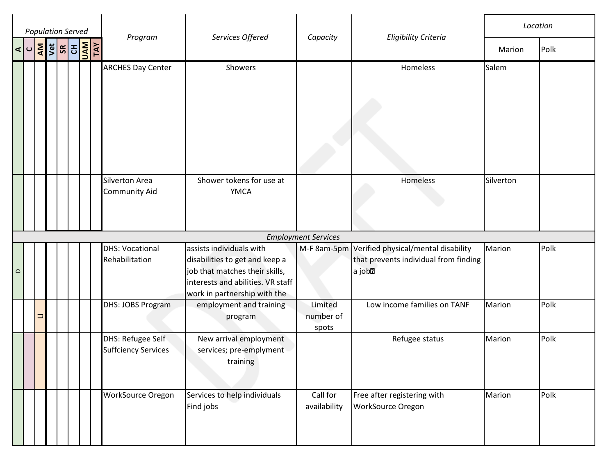| <b>Population Served</b> |   |                                                                                                                                                                                                                                                                                                                                                                                                                                                                                                  |  |         |                  |                                                 |                                                                                                                                                                   |                               |                                                                                                    | Location  |      |
|--------------------------|---|--------------------------------------------------------------------------------------------------------------------------------------------------------------------------------------------------------------------------------------------------------------------------------------------------------------------------------------------------------------------------------------------------------------------------------------------------------------------------------------------------|--|---------|------------------|-------------------------------------------------|-------------------------------------------------------------------------------------------------------------------------------------------------------------------|-------------------------------|----------------------------------------------------------------------------------------------------|-----------|------|
|                          |   | $\frac{1}{\sqrt{2}}\left \frac{1}{2}\right \frac{1}{2}\left \frac{1}{2}\right \frac{1}{2}\left \frac{1}{2}\right \frac{1}{2}\left \frac{1}{2}\right \frac{1}{2}\left \frac{1}{2}\right \frac{1}{2}\left \frac{1}{2}\right \frac{1}{2}\left \frac{1}{2}\right \frac{1}{2}\left \frac{1}{2}\right \frac{1}{2}\left \frac{1}{2}\right \frac{1}{2}\left \frac{1}{2}\right \frac{1}{2}\left \frac{1}{2}\right \frac{1}{2}\left \frac{1}{2}\right \frac{1}{2}\left \frac{1}{2}\right \frac{1}{2}\left$ |  | Program | Services Offered | Capacity                                        | <b>Eligibility Criteria</b>                                                                                                                                       | Marion                        | Polk                                                                                               |           |      |
|                          |   |                                                                                                                                                                                                                                                                                                                                                                                                                                                                                                  |  |         |                  | <b>ARCHES Day Center</b>                        | Showers                                                                                                                                                           |                               | Homeless                                                                                           | Salem     |      |
|                          |   |                                                                                                                                                                                                                                                                                                                                                                                                                                                                                                  |  |         |                  | Silverton Area<br><b>Community Aid</b>          | Shower tokens for use at<br><b>YMCA</b>                                                                                                                           |                               | Homeless                                                                                           | Silverton |      |
|                          |   |                                                                                                                                                                                                                                                                                                                                                                                                                                                                                                  |  |         |                  |                                                 |                                                                                                                                                                   | <b>Employment Services</b>    |                                                                                                    |           |      |
| $\mathbf{\Omega}$        |   |                                                                                                                                                                                                                                                                                                                                                                                                                                                                                                  |  |         |                  | <b>DHS: Vocational</b><br>Rehabilitation        | assists individuals with<br>disabilities to get and keep a<br>job that matches their skills,<br>interests and abilities. VR staff<br>work in partnership with the |                               | M-F 8am-5pm Verified physical/mental disability<br>that prevents individual from finding<br>a job? | Marion    | Polk |
|                          | ⊐ |                                                                                                                                                                                                                                                                                                                                                                                                                                                                                                  |  |         |                  | DHS: JOBS Program                               | employment and training<br>program                                                                                                                                | Limited<br>number of<br>spots | Low income families on TANF                                                                        | Marion    | Polk |
|                          |   |                                                                                                                                                                                                                                                                                                                                                                                                                                                                                                  |  |         |                  | DHS: Refugee Self<br><b>Suffciency Services</b> | New arrival employment<br>services; pre-emplyment<br>training                                                                                                     |                               | Refugee status                                                                                     | Marion    | Polk |
|                          |   |                                                                                                                                                                                                                                                                                                                                                                                                                                                                                                  |  |         |                  | WorkSource Oregon                               | Services to help individuals<br>Find jobs                                                                                                                         | Call for<br>availability      | Free after registering with<br>WorkSource Oregon                                                   | Marion    | Polk |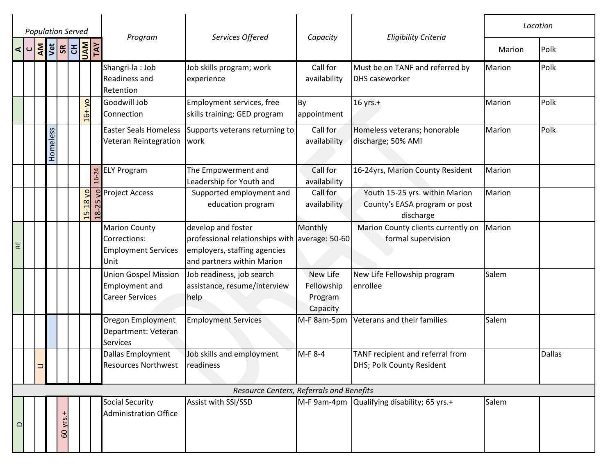|             | <b>Population Served</b> |           |          |                    |                                                         |           |                                                                                |                                                                                                                                    |                                               |                                                                              | Location      |               |
|-------------|--------------------------|-----------|----------|--------------------|---------------------------------------------------------|-----------|--------------------------------------------------------------------------------|------------------------------------------------------------------------------------------------------------------------------------|-----------------------------------------------|------------------------------------------------------------------------------|---------------|---------------|
|             | $\triangleleft$          | <b>AM</b> |          | <b>VEL 3 R AVE</b> |                                                         |           | Program                                                                        | Services Offered                                                                                                                   | Capacity                                      | <b>Eligibility Criteria</b>                                                  | Marion        | Polk          |
|             |                          |           |          |                    |                                                         |           | Shangri-la: Job<br>Readiness and<br>Retention                                  | Job skills program; work<br>experience                                                                                             | Call for<br>availability                      | Must be on TANF and referred by<br><b>DHS caseworker</b>                     | Marion        | Polk          |
|             |                          |           |          |                    | $\overline{a}$<br>ჭ                                     |           | Goodwill Job<br>Connection                                                     | Employment services, free<br>skills training; GED program                                                                          | By<br>appointment                             | 16 yrs.+                                                                     | Marion        | Polk          |
|             |                          |           | Homeless |                    |                                                         |           | <b>Easter Seals Homeless</b><br>Veteran Reintegration                          | Supports veterans returning to<br>work                                                                                             | Call for<br>availability                      | Homeless veterans; honorable<br>discharge; 50% AMI                           | <b>Marion</b> | Polk          |
|             |                          |           |          |                    |                                                         |           | <b>ELY Program</b>                                                             | The Empowerment and<br>Leadership for Youth and                                                                                    | Call for<br>availability                      | 16-24yrs, Marion County Resident                                             | Marion        |               |
|             |                          |           |          |                    | $\overline{a}$<br>$-5 - 18$<br>$\overline{\phantom{0}}$ | $18 - 25$ | <b>Project Access</b>                                                          | Supported employment and<br>education program                                                                                      | Call for<br>availability                      | Youth 15-25 yrs. within Marion<br>County's EASA program or post<br>discharge | Marion        |               |
| $\mathbb R$ |                          |           |          |                    |                                                         |           | <b>Marion County</b><br>Corrections:<br><b>Employment Services</b><br>Unit     | develop and foster<br>professional relationships with average: 50-60<br>employers, staffing agencies<br>and partners within Marion | Monthly                                       | Marion County clients currently on<br>formal supervision                     | Marion        |               |
|             |                          |           |          |                    |                                                         |           | <b>Union Gospel Mission</b><br><b>Employment and</b><br><b>Career Services</b> | Job readiness, job search<br>assistance, resume/interview<br>help                                                                  | New Life<br>Fellowship<br>Program<br>Capacity | New Life Fellowship program<br>enrollee                                      | Salem         |               |
|             |                          |           |          |                    |                                                         |           | Oregon Employment<br>Department: Veteran<br><b>Services</b>                    | <b>Employment Services</b>                                                                                                         | M-F 8am-5pm                                   | Veterans and their families                                                  | Salem         |               |
|             |                          |           |          |                    |                                                         |           | Dallas Employment<br>Resources Northwest readiness                             | Job skills and employment                                                                                                          | M-F 8-4                                       | TANF recipient and referral from<br>DHS; Polk County Resident                |               | <b>Dallas</b> |
|             |                          |           |          |                    |                                                         |           |                                                                                | Resource Centers, Referrals and Benefits                                                                                           |                                               |                                                                              |               |               |
| $\Omega$    |                          |           |          | 60 yrs.            |                                                         |           | <b>Social Security</b><br><b>Administration Office</b>                         | Assist with SSI/SSD                                                                                                                | M-F 9am-4pm                                   | Qualifying disability; 65 yrs.+                                              | Salem         |               |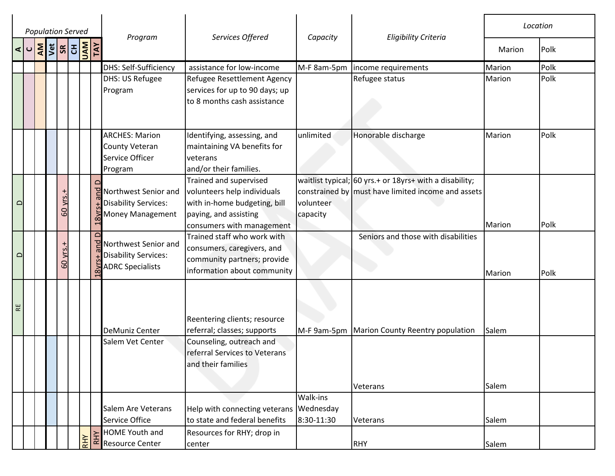|             |                          | <b>Population Served</b> |          |  |                                                                                 | Services Offered                                                                                                                               | Capacity               |                                                                                                                     | Location       |      |
|-------------|--------------------------|--------------------------|----------|--|---------------------------------------------------------------------------------|------------------------------------------------------------------------------------------------------------------------------------------------|------------------------|---------------------------------------------------------------------------------------------------------------------|----------------|------|
|             | $\vert \mathbf{C} \vert$ | <b>AND READ READ</b>     |          |  | Program                                                                         |                                                                                                                                                |                        | <b>Eligibility Criteria</b>                                                                                         | Marion         | Polk |
|             |                          |                          |          |  | DHS: Self-Sufficiency                                                           | assistance for low-income                                                                                                                      | M-F 8am-5pm            | income requirements                                                                                                 | Marion         | Polk |
|             |                          |                          |          |  | <b>DHS: US Refugee</b><br>Program                                               | Refugee Resettlement Agency<br>services for up to 90 days; up<br>to 8 months cash assistance                                                   |                        | Refugee status                                                                                                      | Marion         | Polk |
|             |                          |                          |          |  | <b>ARCHES: Marion</b><br>County Veteran<br>Service Officer<br>Program           | Identifying, assessing, and<br>maintaining VA benefits for<br>veterans<br>and/or their families.                                               | unlimited              | Honorable discharge                                                                                                 | Marion         | Polk |
| $\Omega$    |                          |                          | 60 yrs.+ |  | PNorthwest Senior and<br><b>Disability Services:</b><br>Money Management        | Trained and supervised<br>volunteers help individuals<br>with in-home budgeting, bill<br>paying, and assisting<br>consumers with management    | volunteer<br>capacity  | waitlist typical; 60 yrs. $+$ or 18yrs $+$ with a disability;<br>constrained by must have limited income and assets | Marion         | Polk |
| $\Omega$    |                          |                          | 60 yrs.+ |  | PNorthwest Senior and<br><b>Disability Services:</b><br><b>ADRC Specialists</b> | Trained staff who work with<br>consumers, caregivers, and<br>community partners; provide<br>information about community                        |                        | Seniors and those with disabilities                                                                                 | Marion         | Polk |
| $\mathbb R$ |                          |                          |          |  | DeMuniz Center<br>Salem Vet Center                                              | Reentering clients; resource<br>referral; classes; supports<br>Counseling, outreach and<br>referral Services to Veterans<br>and their families |                        | M-F 9am-5pm   Marion County Reentry population<br>Veterans                                                          | Salem<br>Salem |      |
|             |                          |                          |          |  | Salem Are Veterans<br>Service Office                                            | Help with connecting veterans Wednesday<br>to state and federal benefits                                                                       | Walk-ins<br>8:30-11:30 | Veterans                                                                                                            | Salem          |      |
|             |                          |                          |          |  | <b>HOME Youth and</b><br>$\frac{1}{2}$ $\frac{1}{2}$ HOME Youth and             | Resources for RHY; drop in<br>center                                                                                                           |                        | <b>RHY</b>                                                                                                          | Salem          |      |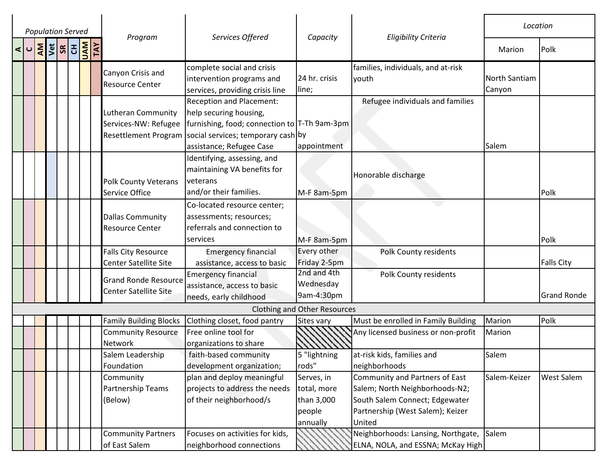|                  |  | <b>Population Served</b> |  |  | Program                                              | Services Offered<br>Capacity                            |                                     | <b>Eligibility Criteria</b>              | Location      |                    |
|------------------|--|--------------------------|--|--|------------------------------------------------------|---------------------------------------------------------|-------------------------------------|------------------------------------------|---------------|--------------------|
| ⋖<br>$\mathbf C$ |  | <b>AND READ READ</b>     |  |  |                                                      |                                                         |                                     |                                          | Marion        | Polk               |
|                  |  |                          |  |  | Canyon Crisis and                                    | complete social and crisis                              |                                     | families, individuals, and at-risk       |               |                    |
|                  |  |                          |  |  | Resource Center                                      | intervention programs and                               | 24 hr. crisis                       | youth                                    | North Santiam |                    |
|                  |  |                          |  |  |                                                      | services, providing crisis line                         | line;                               |                                          | Canyon        |                    |
|                  |  |                          |  |  |                                                      | <b>Reception and Placement:</b>                         |                                     | Refugee individuals and families         |               |                    |
|                  |  |                          |  |  | Lutheran Community                                   | help securing housing,                                  |                                     |                                          |               |                    |
|                  |  |                          |  |  | Services-NW: Refugee                                 | furnishing, food; connection to T-Th 9am-3pm            |                                     |                                          |               |                    |
|                  |  |                          |  |  |                                                      | Resettlement Program social services; temporary cash by |                                     |                                          |               |                    |
|                  |  |                          |  |  |                                                      | assistance; Refugee Case                                | appointment                         |                                          | Salem         |                    |
|                  |  |                          |  |  |                                                      | Identifying, assessing, and                             |                                     |                                          |               |                    |
|                  |  |                          |  |  |                                                      | maintaining VA benefits for                             |                                     | Honorable discharge                      |               |                    |
|                  |  |                          |  |  | <b>Polk County Veterans</b>                          | veterans                                                |                                     |                                          |               |                    |
|                  |  |                          |  |  | Service Office                                       | and/or their families.                                  | M-F 8am-5pm                         |                                          |               | Polk               |
|                  |  |                          |  |  |                                                      | Co-located resource center;                             |                                     |                                          |               |                    |
|                  |  |                          |  |  | <b>Dallas Community</b>                              | assessments; resources;                                 |                                     |                                          |               |                    |
|                  |  |                          |  |  | <b>Resource Center</b>                               | referrals and connection to                             |                                     |                                          |               |                    |
|                  |  |                          |  |  |                                                      | services                                                | M-F 8am-5pm                         |                                          |               | Polk               |
|                  |  |                          |  |  | <b>Falls City Resource</b>                           | <b>Emergency financial</b>                              | Every other                         | <b>Polk County residents</b>             |               |                    |
|                  |  |                          |  |  | Center Satellite Site                                | assistance, access to basic                             | Friday 2-5pm                        |                                          |               | <b>Falls City</b>  |
|                  |  |                          |  |  |                                                      | <b>Emergency financial</b>                              | 2nd and 4th                         | Polk County residents                    |               |                    |
|                  |  |                          |  |  | <b>Grand Ronde Resource</b><br>Center Satellite Site | assistance, access to basic                             | Wednesday                           |                                          |               |                    |
|                  |  |                          |  |  |                                                      | needs, early childhood                                  | 9am-4:30pm                          |                                          |               | <b>Grand Ronde</b> |
|                  |  |                          |  |  |                                                      |                                                         | <b>Clothing and Other Resources</b> |                                          |               |                    |
|                  |  |                          |  |  | <b>Family Building Blocks</b>                        | Clothing closet, food pantry                            | Sites vary                          | Must be enrolled in Family Building      | Marion        | Polk               |
|                  |  |                          |  |  | <b>Community Resource</b>                            | Free online tool for                                    |                                     | Any licensed business or non-profit      | Marion        |                    |
|                  |  |                          |  |  | Network                                              | organizations to share                                  |                                     |                                          |               |                    |
|                  |  |                          |  |  | Salem Leadership                                     | faith-based community                                   | 5 "lightning                        | at-risk kids, families and               | Salem         |                    |
|                  |  |                          |  |  | Foundation                                           | development organization;                               | rods"                               | neighborhoods                            |               |                    |
|                  |  |                          |  |  | Community                                            | plan and deploy meaningful                              | Serves, in                          | Community and Partners of East           | Salem-Keizer  | <b>West Salem</b>  |
|                  |  |                          |  |  | Partnership Teams                                    | projects to address the needs                           | total, more                         | Salem; North Neighborhoods-N2;           |               |                    |
|                  |  |                          |  |  | (Below)                                              | of their neighborhood/s                                 | than 3,000                          | South Salem Connect; Edgewater           |               |                    |
|                  |  |                          |  |  |                                                      |                                                         | people                              | Partnership (West Salem); Keizer         |               |                    |
|                  |  |                          |  |  |                                                      |                                                         | annually                            | United                                   |               |                    |
|                  |  |                          |  |  | <b>Community Partners</b>                            | Focuses on activities for kids,                         |                                     | Neighborhoods: Lansing, Northgate, Salem |               |                    |
|                  |  |                          |  |  | of East Salem                                        | neighborhood connections                                |                                     | ELNA, NOLA, and ESSNA; McKay High        |               |                    |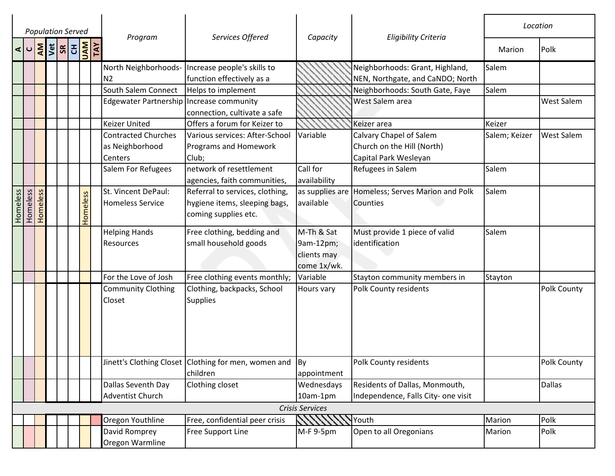|          | <b>Population Served</b>                 |          |  |  |            |     |                                            |                                                                    |                              |                                                  | Location      |                   |
|----------|------------------------------------------|----------|--|--|------------|-----|--------------------------------------------|--------------------------------------------------------------------|------------------------------|--------------------------------------------------|---------------|-------------------|
|          | $\leq$ 0 $\frac{2}{5}$ 5 $\frac{2}{5}$ 5 |          |  |  | <b>NAU</b> | TAY | Program                                    | Services Offered                                                   | Capacity                     | <b>Eligibility Criteria</b>                      | Marion        | Polk              |
|          |                                          |          |  |  |            |     | North Neighborhoods-                       | Increase people's skills to                                        |                              | Neighborhoods: Grant, Highland,                  | Salem         |                   |
|          |                                          |          |  |  |            |     | N <sub>2</sub>                             | function effectively as a                                          |                              | NEN, Northgate, and CaNDO; North                 |               |                   |
|          |                                          |          |  |  |            |     | South Salem Connect                        | Helps to implement                                                 |                              | Neighborhoods: South Gate, Faye                  | Salem         |                   |
|          |                                          |          |  |  |            |     | Edgewater Partnership   Increase community |                                                                    |                              | West Salem area                                  |               | <b>West Salem</b> |
|          |                                          |          |  |  |            |     |                                            | connection, cultivate a safe                                       |                              |                                                  |               |                   |
|          |                                          |          |  |  |            |     | <b>Keizer United</b>                       | Offers a forum for Keizer to                                       |                              | Keizer area                                      | Keizer        |                   |
|          |                                          |          |  |  |            |     | <b>Contracted Churches</b>                 | Various services: After-School                                     | Variable                     | Calvary Chapel of Salem                          | Salem; Keizer | <b>West Salem</b> |
|          |                                          |          |  |  |            |     | as Neighborhood                            | Programs and Homework                                              |                              | Church on the Hill (North)                       |               |                   |
|          |                                          |          |  |  |            |     | Centers                                    | Club;                                                              |                              | Capital Park Wesleyan                            |               |                   |
|          |                                          |          |  |  |            |     | Salem For Refugees                         | network of resettlement<br>agencies, faith communities,            | Call for<br>availability     | Refugees in Salem                                | Salem         |                   |
|          |                                          |          |  |  |            |     | St. Vincent DePaul:                        | Referral to services, clothing,                                    |                              | as supplies are Homeless; Serves Marion and Polk | Salem         |                   |
|          |                                          |          |  |  |            |     | <b>Homeless Service</b>                    | hygiene items, sleeping bags,                                      | available                    | Counties                                         |               |                   |
| Homeless | Homeless                                 | Homeless |  |  | Homeless   |     |                                            | coming supplies etc.                                               |                              |                                                  |               |                   |
|          |                                          |          |  |  |            |     | <b>Helping Hands</b>                       | Free clothing, bedding and                                         | M-Th & Sat                   | Must provide 1 piece of valid                    | Salem         |                   |
|          |                                          |          |  |  |            |     | Resources                                  | small household goods                                              | $9am-12pm;$                  | identification                                   |               |                   |
|          |                                          |          |  |  |            |     |                                            |                                                                    | clients may                  |                                                  |               |                   |
|          |                                          |          |  |  |            |     |                                            |                                                                    | come 1x/wk.                  |                                                  |               |                   |
|          |                                          |          |  |  |            |     | For the Love of Josh                       | Free clothing events monthly;                                      | Variable                     | Stayton community members in                     | Stayton       |                   |
|          |                                          |          |  |  |            |     | <b>Community Clothing</b><br>Closet        | Clothing, backpacks, School<br><b>Supplies</b>                     | Hours vary                   | Polk County residents                            |               | Polk County       |
|          |                                          |          |  |  |            |     |                                            | Jinett's Clothing Closet   Clothing for men, women and<br>children | $\mathsf{By}$<br>appointment | Polk County residents                            |               | Polk County       |
|          |                                          |          |  |  |            |     | Dallas Seventh Day                         | Clothing closet                                                    | Wednesdays                   | Residents of Dallas, Monmouth,                   |               | <b>Dallas</b>     |
|          |                                          |          |  |  |            |     | Adventist Church                           |                                                                    | 10am-1pm                     | Independence, Falls City- one visit              |               |                   |
|          |                                          |          |  |  |            |     |                                            |                                                                    | Crisis Services              |                                                  |               |                   |
|          |                                          |          |  |  |            |     | Oregon Youthline                           | Free, confidential peer crisis                                     |                              | Youth                                            | Marion        | Polk              |
|          |                                          |          |  |  |            |     | David Romprey                              | Free Support Line                                                  | M-F 9-5pm                    | Open to all Oregonians                           | Marion        | Polk              |
|          |                                          |          |  |  |            |     | Oregon Warmline                            |                                                                    |                              |                                                  |               |                   |